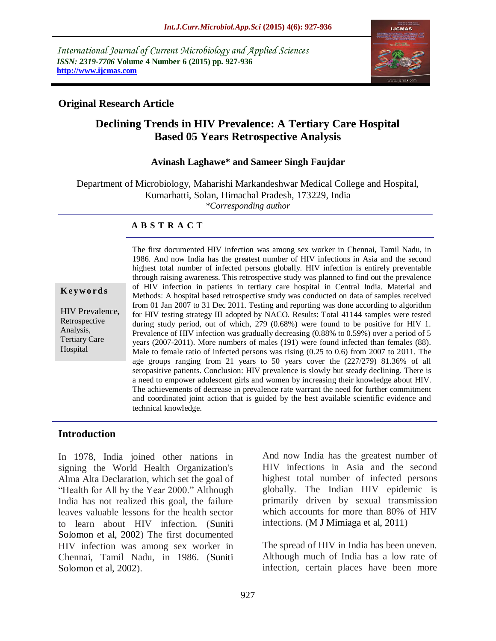*International Journal of Current Microbiology and Applied Sciences ISSN: 2319-7706* **Volume 4 Number 6 (2015) pp. 927-936 http://www.ijcmas.com** 



### **Original Research Article**

# **Declining Trends in HIV Prevalence: A Tertiary Care Hospital Based 05 Years Retrospective Analysis**

#### **Avinash Laghawe\* and Sameer Singh Faujdar**

Department of Microbiology, Maharishi Markandeshwar Medical College and Hospital, Kumarhatti, Solan, Himachal Pradesh, 173229, India *\*Corresponding author*

#### **A B S T R A C T**

#### **K ey w o rd s**

HIV Prevalence, Retrospective Analysis, Tertiary Care Hospital

The first documented HIV infection was among sex worker in Chennai, Tamil Nadu, in 1986. And now India has the greatest number of HIV infections in Asia and the second highest total number of infected persons globally. HIV infection is entirely preventable through raising awareness. This retrospective study was planned to find out the prevalence of HIV infection in patients in tertiary care hospital in Central India. Material and Methods: A hospital based retrospective study was conducted on data of samples received from 01 Jan 2007 to 31 Dec 2011. Testing and reporting was done according to algorithm for HIV testing strategy III adopted by NACO. Results: Total 41144 samples were tested during study period, out of which, 279 (0.68%) were found to be positive for HIV 1. Prevalence of HIV infection was gradually decreasing (0.88% to 0.59%) over a period of 5 years (2007-2011). More numbers of males (191) were found infected than females (88). Male to female ratio of infected persons was rising (0.25 to 0.6) from 2007 to 2011. The age groups ranging from 21 years to 50 years cover the (227/279) 81.36% of all seropasitive patients. Conclusion: HIV prevalence is slowly but steady declining. There is a need to empower adolescent girls and women by increasing their knowledge about HIV. The achievements of decrease in prevalence rate warrant the need for further commitment and coordinated joint action that is guided by the best available scientific evidence and technical knowledge.

#### **Introduction**

In 1978, India joined other nations in signing the World Health Organization's Alma Alta Declaration, which set the goal of "Health for All by the Year 2000." Although India has not realized this goal, the failure leaves valuable lessons for the health sector to learn about HIV infection. (Suniti Solomon et al, 2002) The first documented HIV infection was among sex worker in Chennai, Tamil Nadu, in 1986. (Suniti Solomon et al, 2002).

And now India has the greatest number of HIV infections in Asia and the second highest total number of infected persons globally. The Indian HIV epidemic is primarily driven by sexual transmission which accounts for more than 80% of HIV infections. (M J Mimiaga et al, 2011)

The spread of HIV in India has been uneven. Although much of India has a low rate of infection, certain places have been more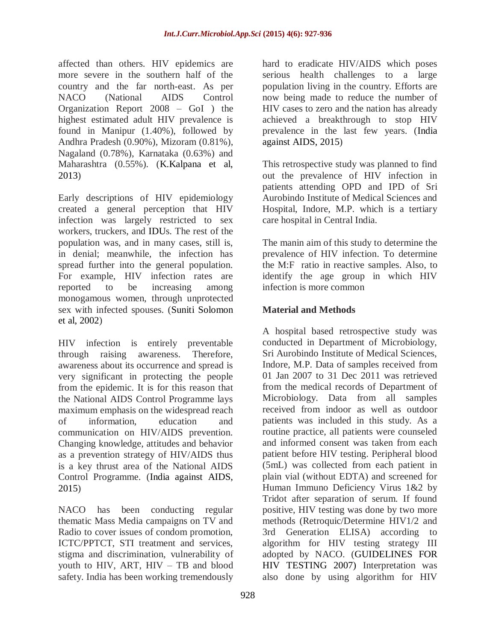affected than others. HIV epidemics are more severe in the southern half of the country and the far north-east. As per NACO (National AIDS Control Organization Report 2008 – GoI ) the highest estimated adult HIV prevalence is found in Manipur (1.40%), followed by Andhra Pradesh (0.90%), Mizoram (0.81%), Nagaland (0.78%), Karnataka (0.63%) and Maharashtra (0.55%). (K.Kalpana et al, 2013)

Early descriptions of HIV epidemiology created a general perception that HIV infection was largely restricted to sex workers, truckers, and IDUs. The rest of the population was, and in many cases, still is, in denial; meanwhile, the infection has spread further into the general population. For example, HIV infection rates are reported to be increasing among monogamous women, through unprotected sex with infected spouses. (Suniti Solomon et al, 2002)

HIV infection is entirely preventable through raising awareness. Therefore, awareness about its occurrence and spread is very significant in protecting the people from the epidemic. It is for this reason that the National AIDS Control Programme lays maximum emphasis on the widespread reach of information, education and communication on HIV/AIDS prevention. Changing knowledge, attitudes and behavior as a prevention strategy of HIV/AIDS thus is a key thrust area of the National AIDS Control Programme. (India against AIDS, 2015)

NACO has been conducting regular thematic Mass Media campaigns on TV and Radio to cover issues of condom promotion, ICTC/PPTCT, STI treatment and services, stigma and discrimination, vulnerability of youth to HIV, ART, HIV – TB and blood safety. India has been working tremendously

hard to eradicate HIV/AIDS which poses serious health challenges to a large population living in the country. Efforts are now being made to reduce the number of HIV cases to zero and the nation has already achieved a breakthrough to stop HIV prevalence in the last few years. (India against AIDS, 2015)

This retrospective study was planned to find out the prevalence of HIV infection in patients attending OPD and IPD of Sri Aurobindo Institute of Medical Sciences and Hospital, Indore, M.P. which is a tertiary care hospital in Central India.

The manin aim of this study to determine the prevalence of HIV infection. To determine the M:F ratio in reactive samples. Also, to identify the age group in which HIV infection is more common

# **Material and Methods**

A hospital based retrospective study was conducted in Department of Microbiology, Sri Aurobindo Institute of Medical Sciences, Indore, M.P. Data of samples received from 01 Jan 2007 to 31 Dec 2011 was retrieved from the medical records of Department of Microbiology. Data from all samples received from indoor as well as outdoor patients was included in this study. As a routine practice, all patients were counseled and informed consent was taken from each patient before HIV testing. Peripheral blood (5mL) was collected from each patient in plain vial (without EDTA) and screened for Human Immuno Deficiency Virus 1&2 by Tridot after separation of serum. If found positive, HIV testing was done by two more methods (Retroquic/Determine HIV1/2 and 3rd Generation ELISA) according algorithm for HIV testing strategy III adopted by NACO. (GUIDELINES FOR HIV TESTING 2007) Interpretation was also done by using algorithm for HIV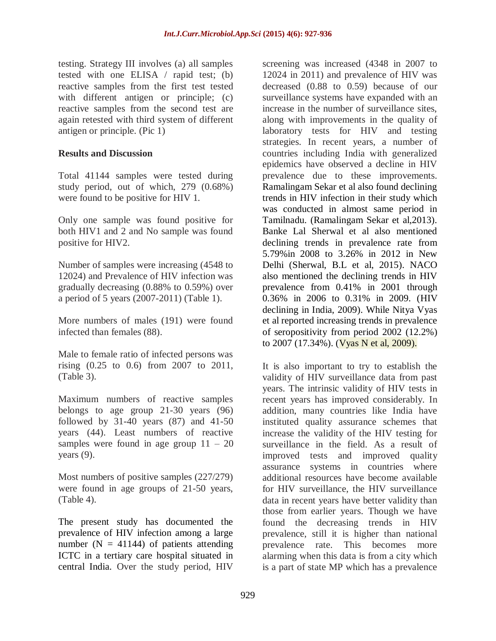testing. Strategy III involves (a) all samples tested with one ELISA / rapid test; (b) reactive samples from the first test tested with different antigen or principle; (c) reactive samples from the second test are again retested with third system of different antigen or principle. (Pic 1)

### **Results and Discussion**

Total 41144 samples were tested during study period, out of which, 279 (0.68%) were found to be positive for HIV 1.

Only one sample was found positive for both HIV1 and 2 and No sample was found positive for HIV2.

Number of samples were increasing (4548 to 12024) and Prevalence of HIV infection was gradually decreasing (0.88% to 0.59%) over a period of 5 years (2007-2011) (Table 1).

More numbers of males (191) were found infected than females (88).

Male to female ratio of infected persons was rising (0.25 to 0.6) from 2007 to 2011, (Table 3).

Maximum numbers of reactive samples belongs to age group 21-30 years (96) followed by 31-40 years (87) and 41-50 years (44). Least numbers of reactive samples were found in age group  $11 - 20$ years (9).

Most numbers of positive samples (227/279) were found in age groups of 21-50 years, (Table 4).

The present study has documented the prevalence of HIV infection among a large number ( $N = 41144$ ) of patients attending ICTC in a tertiary care hospital situated in central India. Over the study period, HIV

screening was increased (4348 in 2007 to 12024 in 2011) and prevalence of HIV was decreased (0.88 to 0.59) because of our surveillance systems have expanded with an increase in the number of surveillance sites, along with improvements in the quality of laboratory tests for HIV and testing strategies. In recent years, a number of countries including India with generalized epidemics have observed a decline in HIV prevalence due to these improvements. Ramalingam Sekar et al also found declining trends in HIV infection in their study which was conducted in almost same period in Tamilnadu. (Ramalingam Sekar et al,2013). Banke Lal Sherwal et al also mentioned declining trends in prevalence rate from 5.79%in 2008 to 3.26% in 2012 in New Delhi (Sherwal, B.L et al, 2015). NACO also mentioned the declining trends in HIV prevalence from 0.41% in 2001 through 0.36% in 2006 to 0.31% in 2009. (HIV declining in India, 2009). While Nitya Vyas et al reported increasing trends in prevalence of seropositivity from period 2002 (12.2%) to 2007 (17.34%). (Vyas N et al, 2009).

It is also important to try to establish the validity of HIV surveillance data from past years. The intrinsic validity of HIV tests in recent years has improved considerably. In addition, many countries like India have instituted quality assurance schemes that increase the validity of the HIV testing for surveillance in the field. As a result of improved tests and improved quality assurance systems in countries where additional resources have become available for HIV surveillance, the HIV surveillance data in recent years have better validity than those from earlier years. Though we have found the decreasing trends in HIV prevalence, still it is higher than national prevalence rate. This becomes more alarming when this data is from a city which is a part of state MP which has a prevalence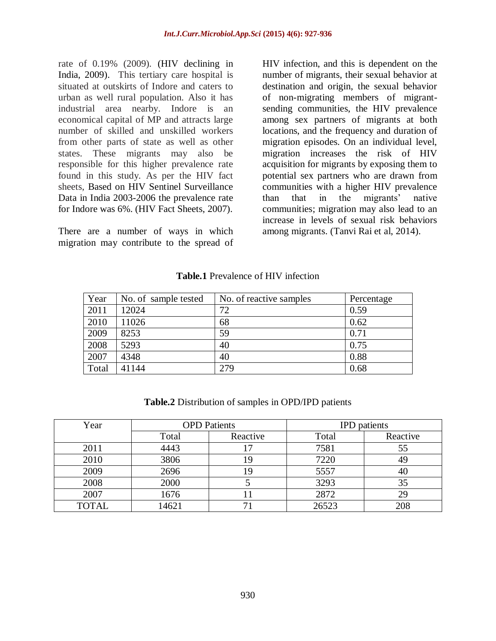rate of 0.19% (2009). (HIV declining in India, 2009). This tertiary care hospital is situated at outskirts of Indore and caters to urban as well rural population. Also it has industrial area nearby. Indore is an economical capital of MP and attracts large number of skilled and unskilled workers from other parts of state as well as other states. These migrants may also be responsible for this higher prevalence rate found in this study. As per the HIV fact sheets, Based on HIV Sentinel Surveillance Data in India 2003-2006 the prevalence rate for Indore was 6%. (HIV Fact Sheets, 2007).

There are a number of ways in which migration may contribute to the spread of HIV infection, and this is dependent on the number of migrants, their sexual behavior at destination and origin, the sexual behavior of non-migrating members of migrantsending communities, the HIV prevalence among sex partners of migrants at both locations, and the frequency and duration of migration episodes. On an individual level, migration increases the risk of HIV acquisition for migrants by exposing them to potential sex partners who are drawn from communities with a higher HIV prevalence than that in the migrants' native communities; migration may also lead to an increase in levels of sexual risk behaviors among migrants. (Tanvi Rai et al, 2014).

### **Table.1** Prevalence of HIV infection

| Year  | No. of sample tested | No. of reactive samples | Percentage |
|-------|----------------------|-------------------------|------------|
| 2011  | 12024                | 72                      | 0.59       |
| 2010  | 11026                | 68                      | 0.62       |
| 2009  | 8253                 | 59                      | 0.71       |
| 2008  | 5293                 | 40                      | 0.75       |
| 2007  | 4348                 | 40                      | 0.88       |
| Total | 41144                | 279                     | 0.68       |

**Table.2** Distribution of samples in OPD/IPD patients

| Year         | <b>OPD</b> Patients |          | <b>IPD</b> patients |          |
|--------------|---------------------|----------|---------------------|----------|
|              | Total               | Reactive | Total               | Reactive |
| 2011         | 4443                |          | 7581                | 55       |
| 2010         | 3806                | 19       | 7220                |          |
| 2009         | 2696                | 19       | 5557                | 40       |
| 2008         | 2000                |          | 3293                | 35       |
| 2007         | 1676                |          | 2872                | 29       |
| <b>TOTAL</b> | 14621               |          | 26523               | 208      |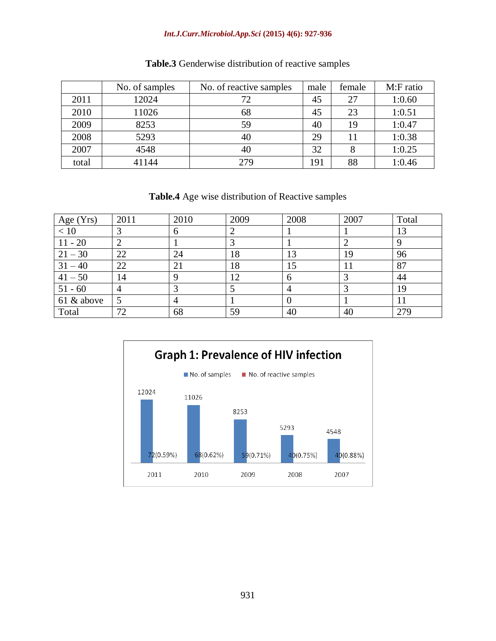#### *Int.J.Curr.Microbiol.App.Sci* **(2015) 4(6): 927-936**

|       | No. of samples | No. of reactive samples | male | female | M:F ratio |
|-------|----------------|-------------------------|------|--------|-----------|
| 2011  | 12024          |                         | 45   | 27     | 1:0.60    |
| 2010  | 11026          | 68                      | 45   | 23     | 1:0.51    |
| 2009  | 8253           | 59                      | 40   | 19     | 1:0.47    |
| 2008  | 5293           | 40                      | 29   | 11     | 1:0.38    |
| 2007  | 4548           | 40                      | 32   |        | 1:0.25    |
| total | 41144          | 279                     | 191  | 88     | 1:0.46    |

## **Table.3** Genderwise distribution of reactive samples

**Table.4** Age wise distribution of Reactive samples

| Age $(Yrs)$ | 2011           | 2010 | 2009           | 2008 | 2007 | Total |
|-------------|----------------|------|----------------|------|------|-------|
| $<10$       |                | b    | $\overline{2}$ |      |      | 13    |
| $11 - 20$   | ി              |      | $\bigcap$      |      | 2    |       |
| $21 - 30$   | 22             | 24   | 18             | 13   | 19   | 96    |
| $31 - 40$   | 22             | 21   | 18             | 15   | 11   | 87    |
| $41 - 50$   | 14             |      | 12             | 6    | っ    | 44    |
| $51 - 60$   | $\overline{4}$ |      |                |      | っ    | 19    |
| 61 & above  |                |      |                |      |      | 11    |
| Total       | 72             | 68   | 59             | 40   | 40   | 279   |

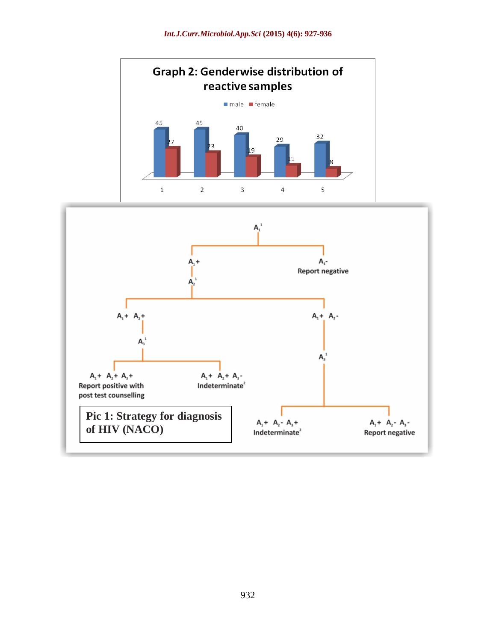

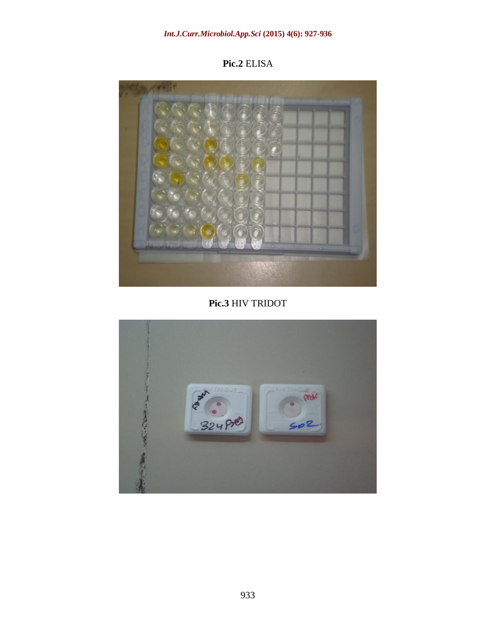**Pic.2** ELISA



**Pic.3** HIV TRIDOT

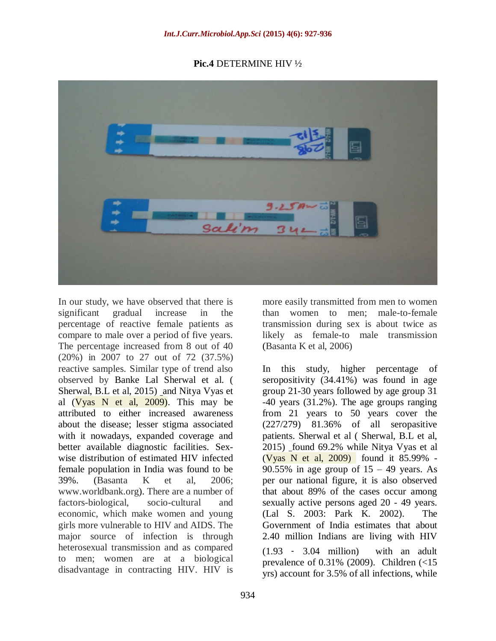#### **Pic.4** DETERMINE HIV ½



In our study, we have observed that there is significant gradual increase in the percentage of reactive female patients as compare to male over a period of five years. The percentage increased from 8 out of 40 (20%) in 2007 to 27 out of 72 (37.5%) reactive samples. Similar type of trend also observed by Banke Lal Sherwal et al. ( Sherwal, B.L et al, 2015) and Nitya Vyas et al  $(Vyas \tN et al, 2009)$ . This may be attributed to either increased awareness about the disease; lesser stigma associated with it nowadays, expanded coverage and better available diagnostic facilities. Sexwise distribution of estimated HIV infected female population in India was found to be 39%. (Basanta K et al, 2006; www.worldbank.org). There are a number of factors-biological, socio-cultural and economic, which make women and young girls more vulnerable to HIV and AIDS. The major source of infection is through heterosexual transmission and as compared to men; women are at a biological disadvantage in contracting HIV. HIV is

more easily transmitted from men to women than women to men; male-to-female transmission during sex is about twice as likely as female-to male transmission (Basanta K et al, 2006)

In this study, higher percentage of seropositivity (34.41%) was found in age group 21-30 years followed by age group 31 -40 years (31.2%). The age groups ranging from 21 years to 50 years cover the (227/279) 81.36% of all seropasitive patients. Sherwal et al ( Sherwal, B.L et al, 2015) found 69.2% while Nitya Vyas et al (Vyas N et al, 2009) found it 85.99% - 90.55% in age group of  $15 - 49$  years. As per our national figure, it is also observed that about 89% of the cases occur among sexually active persons aged 20 - 49 years. (Lal S. 2003: Park K. 2002). The Government of India estimates that about 2.40 million Indians are living with HIV (1.93 ‐ 3.04 million) with an adult prevalence of  $0.31\%$  (2009). Children  $\left( < 15 \right)$ yrs) account for 3.5% of all infections, while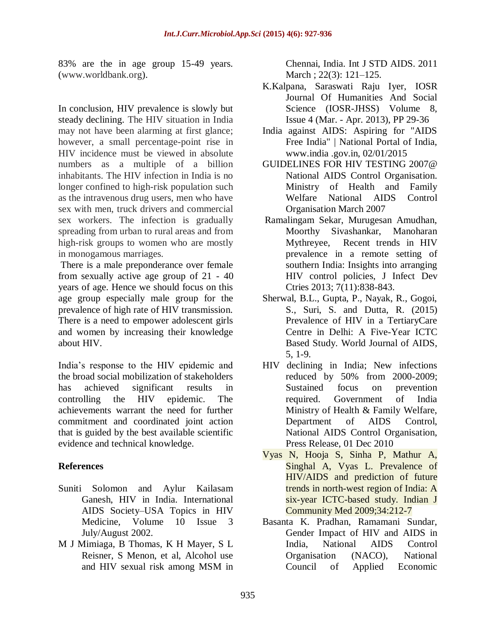83% are the in age group 15-49 years. (www.worldbank.org).

In conclusion, HIV prevalence is slowly but steady declining. The HIV situation in India may not have been alarming at first glance; however, a small percentage-point rise in HIV incidence must be viewed in absolute numbers as a multiple of a billion inhabitants. The HIV infection in India is no longer confined to high-risk population such as the intravenous drug users, men who have sex with men, truck drivers and commercial sex workers. The infection is gradually spreading from urban to rural areas and from high-risk groups to women who are mostly in monogamous marriages.

There is a male preponderance over female from sexually active age group of 21 - 40 years of age. Hence we should focus on this age group especially male group for the prevalence of high rate of HIV transmission. There is a need to empower adolescent girls and women by increasing their knowledge about HIV.

India's response to the HIV epidemic and the broad social mobilization of stakeholders has achieved significant results in controlling the HIV epidemic. The achievements warrant the need for further commitment and coordinated joint action that is guided by the best available scientific evidence and technical knowledge.

# **References**

- Suniti Solomon and Aylur Kailasam Ganesh, HIV in India. International AIDS Society–USA Topics in HIV Medicine, Volume 10 Issue 3 July/August 2002.
- M J Mimiaga, B Thomas, K H Mayer, S L Reisner, S Menon, et al, Alcohol use and HIV sexual risk among MSM in

Chennai, India. Int J STD AIDS. 2011 March ; 22(3): 121–125.

- K.Kalpana, Saraswati Raju Iyer, IOSR Journal Of Humanities And Social Science (IOSR-JHSS) Volume 8, Issue 4 (Mar. - Apr. 2013), PP 29-36
- India against AIDS: Aspiring for "AIDS Free India" | National Portal of India, www.india .gov.in, 02/01/2015
- GUIDELINES FOR HIV TESTING 2007@ National AIDS Control Organisation. Ministry of Health and Family Welfare National AIDS Control Organisation March 2007
- Ramalingam Sekar, Murugesan Amudhan, Moorthy Sivashankar, Manoharan Mythreyee, Recent trends in HIV prevalence in a remote setting of southern India: Insights into arranging HIV control policies, J Infect Dev Ctries 2013; 7(11):838-843.
- Sherwal, B.L., Gupta, P., Nayak, R., Gogoi, S., Suri, S. and Dutta, R. (2015) Prevalence of HIV in a TertiaryCare Centre in Delhi: A Five-Year ICTC Based Study. World Journal of AIDS, 5, 1-9.
- HIV declining in India; New infections reduced by 50% from 2000-2009; Sustained focus on prevention required. Government of India Ministry of Health & Family Welfare, Department of AIDS Control, National AIDS Control Organisation, Press Release, 01 Dec 2010
- Vyas N, Hooja S, Sinha P, Mathur A, Singhal A, Vyas L. Prevalence of HIV/AIDS and prediction of future trends in north-west region of India: A six-year ICTC-based study. Indian J Community Med 2009;34:212-7
- Basanta K. Pradhan, Ramamani Sundar, Gender Impact of HIV and AIDS in India, National AIDS Control Organisation (NACO), National Council of Applied Economic